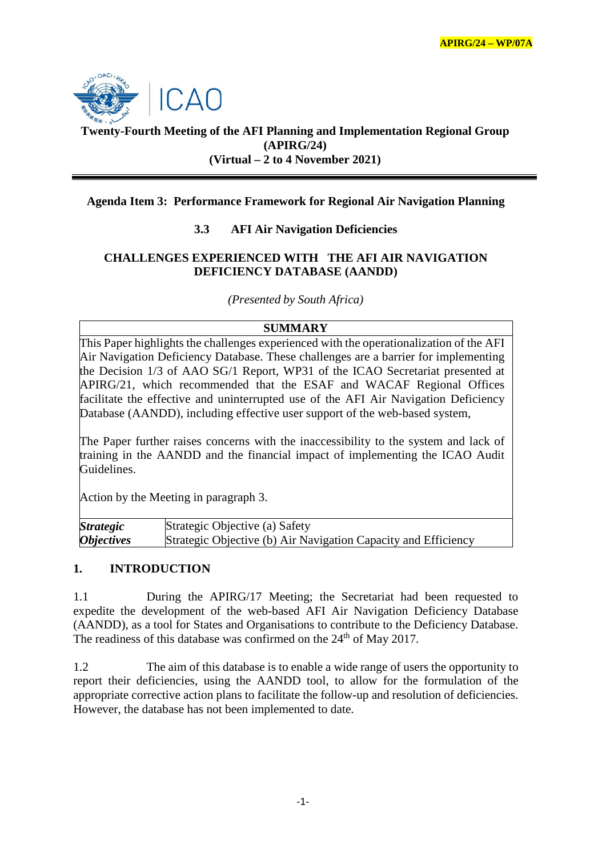

# **Twenty-Fourth Meeting of the AFI Planning and Implementation Regional Group (APIRG/24) (Virtual – 2 to 4 November 2021)**

## **Agenda Item 3: Performance Framework for Regional Air Navigation Planning**

## **3.3 AFI Air Navigation Deficiencies**

#### **CHALLENGES EXPERIENCED WITH THE AFI AIR NAVIGATION DEFICIENCY DATABASE (AANDD)**

*(Presented by South Africa)*

## **SUMMARY**

This Paper highlights the challenges experienced with the operationalization of the AFI Air Navigation Deficiency Database. These challenges are a barrier for implementing the Decision 1/3 of AAO SG/1 Report, WP31 of the ICAO Secretariat presented at APIRG/21, which recommended that the ESAF and WACAF Regional Offices facilitate the effective and uninterrupted use of the AFI Air Navigation Deficiency Database (AANDD), including effective user support of the web-based system,

The Paper further raises concerns with the inaccessibility to the system and lack of training in the AANDD and the financial impact of implementing the ICAO Audit Guidelines.

Action by the Meeting in paragraph 3.

| <i><b>Strategic</b></i>  | Strategic Objective (a) Safety                                 |
|--------------------------|----------------------------------------------------------------|
| <i><b>Objectives</b></i> | Strategic Objective (b) Air Navigation Capacity and Efficiency |

## **1. INTRODUCTION**

1.1 During the APIRG/17 Meeting; the Secretariat had been requested to expedite the development of the web-based AFI Air Navigation Deficiency Database (AANDD), as a tool for States and Organisations to contribute to the Deficiency Database. The readiness of this database was confirmed on the 24<sup>th</sup> of May 2017.

1.2 The aim of this database is to enable a wide range of users the opportunity to report their deficiencies, using the AANDD tool, to allow for the formulation of the appropriate corrective action plans to facilitate the follow-up and resolution of deficiencies. However, the database has not been implemented to date.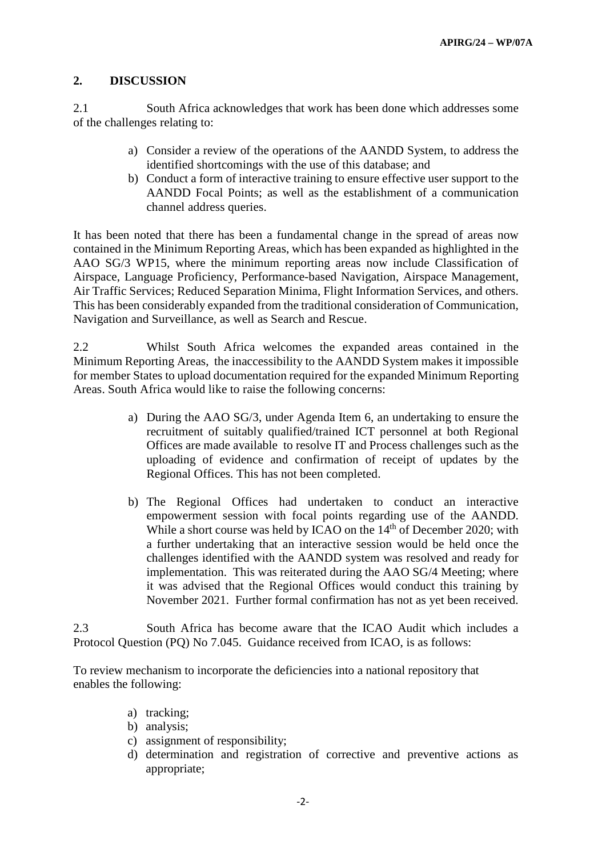#### **2. DISCUSSION**

2.1 South Africa acknowledges that work has been done which addresses some of the challenges relating to:

- a) Consider a review of the operations of the AANDD System, to address the identified shortcomings with the use of this database; and
- b) Conduct a form of interactive training to ensure effective user support to the AANDD Focal Points; as well as the establishment of a communication channel address queries.

It has been noted that there has been a fundamental change in the spread of areas now contained in the Minimum Reporting Areas, which has been expanded as highlighted in the AAO SG/3 WP15, where the minimum reporting areas now include Classification of Airspace, Language Proficiency, Performance-based Navigation, Airspace Management, Air Traffic Services; Reduced Separation Minima, Flight Information Services, and others. This has been considerably expanded from the traditional consideration of Communication, Navigation and Surveillance, as well as Search and Rescue.

2.2 Whilst South Africa welcomes the expanded areas contained in the Minimum Reporting Areas, the inaccessibility to the AANDD System makes it impossible for member States to upload documentation required for the expanded Minimum Reporting Areas. South Africa would like to raise the following concerns:

- a) During the AAO SG/3, under Agenda Item 6, an undertaking to ensure the recruitment of suitably qualified/trained ICT personnel at both Regional Offices are made available to resolve IT and Process challenges such as the uploading of evidence and confirmation of receipt of updates by the Regional Offices. This has not been completed.
- b) The Regional Offices had undertaken to conduct an interactive empowerment session with focal points regarding use of the AANDD. While a short course was held by ICAO on the 14<sup>th</sup> of December 2020; with a further undertaking that an interactive session would be held once the challenges identified with the AANDD system was resolved and ready for implementation. This was reiterated during the AAO SG/4 Meeting; where it was advised that the Regional Offices would conduct this training by November 2021. Further formal confirmation has not as yet been received.

2.3 South Africa has become aware that the ICAO Audit which includes a Protocol Question (PQ) No 7.045. Guidance received from ICAO, is as follows:

To review mechanism to incorporate the deficiencies into a national repository that enables the following:

- a) tracking;
- b) analysis;
- c) assignment of responsibility;
- d) determination and registration of corrective and preventive actions as appropriate;